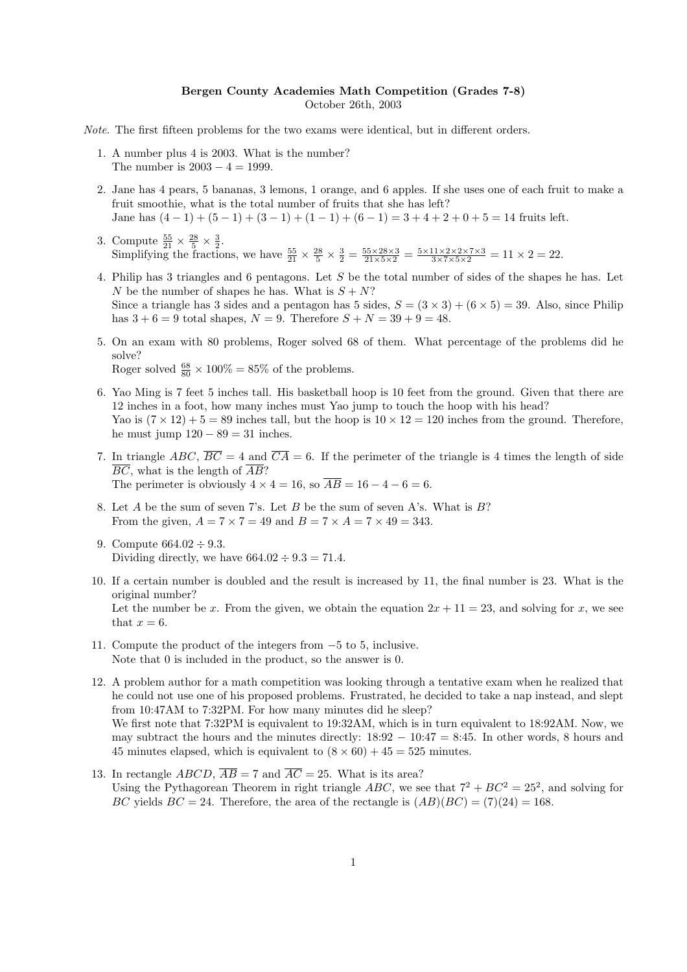## Bergen County Academies Math Competition (Grades 7-8) October 26th, 2003

Note. The first fifteen problems for the two exams were identical, but in different orders.

- 1. A number plus 4 is 2003. What is the number? The number is  $2003 - 4 = 1999$ .
- 2. Jane has 4 pears, 5 bananas, 3 lemons, 1 orange, and 6 apples. If she uses one of each fruit to make a fruit smoothie, what is the total number of fruits that she has left? Jane has  $(4-1)+(5-1)+(3-1)+(1-1)+(6-1)=3+4+2+0+5=14$  fruits left.
- 3. Compute  $\frac{55}{21} \times \frac{28}{5} \times \frac{3}{2}$ . Simplifying the fractions, we have  $\frac{55}{21} \times \frac{28}{5} \times \frac{3}{2} = \frac{55 \times 28 \times 3}{21 \times 5 \times 2} = \frac{5 \times 11 \times 2 \times 2 \times 7 \times 3}{3 \times 7 \times 5 \times 2} = 11 \times 2 = 22$ .
- 4. Philip has 3 triangles and 6 pentagons. Let S be the total number of sides of the shapes he has. Let N be the number of shapes he has. What is  $S + N$ ? Since a triangle has 3 sides and a pentagon has 5 sides,  $S = (3 \times 3) + (6 \times 5) = 39$ . Also, since Philip has  $3 + 6 = 9$  total shapes,  $N = 9$ . Therefore  $S + N = 39 + 9 = 48$ .
- 5. On an exam with 80 problems, Roger solved 68 of them. What percentage of the problems did he solve?

Roger solved  $\frac{68}{80} \times 100\% = 85\%$  of the problems.

- 6. Yao Ming is 7 feet 5 inches tall. His basketball hoop is 10 feet from the ground. Given that there are 12 inches in a foot, how many inches must Yao jump to touch the hoop with his head? Yao is  $(7 \times 12) + 5 = 89$  inches tall, but the hoop is  $10 \times 12 = 120$  inches from the ground. Therefore, he must jump  $120 - 89 = 31$  inches.
- 7. In triangle ABC,  $\overline{BC} = 4$  and  $\overline{CA} = 6$ . If the perimeter of the triangle is 4 times the length of side  $\overline{BC}$ , what is the length of  $\overline{AB}$ ? The perimeter is obviously  $4 \times 4 = 16$ , so  $\overline{AB} = 16 - 4 - 6 = 6$ .
- 8. Let A be the sum of seven 7's. Let B be the sum of seven A's. What is B? From the given,  $A = 7 \times 7 = 49$  and  $B = 7 \times A = 7 \times 49 = 343$ .
- 9. Compute  $664.02 \div 9.3$ . Dividing directly, we have  $664.02 \div 9.3 = 71.4$ .
- 10. If a certain number is doubled and the result is increased by 11, the final number is 23. What is the original number? Let the number be x. From the given, we obtain the equation  $2x + 11 = 23$ , and solving for x, we see that  $x = 6$ .
- 11. Compute the product of the integers from −5 to 5, inclusive. Note that 0 is included in the product, so the answer is 0.
- 12. A problem author for a math competition was looking through a tentative exam when he realized that he could not use one of his proposed problems. Frustrated, he decided to take a nap instead, and slept from 10:47AM to 7:32PM. For how many minutes did he sleep? We first note that 7:32PM is equivalent to 19:32AM, which is in turn equivalent to 18:92AM. Now, we may subtract the hours and the minutes directly:  $18:92 - 10:47 = 8:45$ . In other words, 8 hours and 45 minutes elapsed, which is equivalent to  $(8 \times 60) + 45 = 525$  minutes.
- 13. In rectangle ABCD,  $\overline{AB} = 7$  and  $\overline{AC} = 25$ . What is its area? Using the Pythagorean Theorem in right triangle ABC, we see that  $7^2 + BC^2 = 25^2$ , and solving for BC yields  $BC = 24$ . Therefore, the area of the rectangle is  $(AB)(BC) = (7)(24) = 168$ .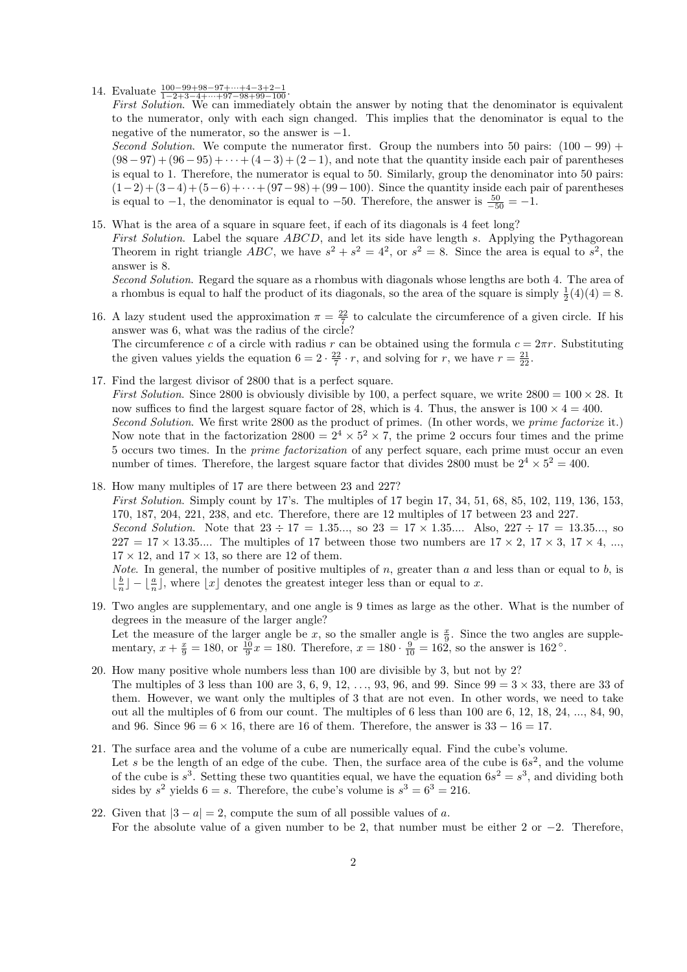14. Evaluate  $\frac{100-99+98-97+\cdots+4-3+2-1}{1-2+3-4+\cdots+97-98+99-100}$ .

First Solution. We can immediately obtain the answer by noting that the denominator is equivalent to the numerator, only with each sign changed. This implies that the denominator is equal to the negative of the numerator, so the answer is −1.

Second Solution. We compute the numerator first. Group the numbers into 50 pairs:  $(100 - 99) +$  $(98–97) + (96-95) + \cdots + (4-3) + (2-1)$ , and note that the quantity inside each pair of parentheses is equal to 1. Therefore, the numerator is equal to 50. Similarly, group the denominator into 50 pairs:  $(1-2) + (3-4) + (5-6) + \cdots + (97-98) + (99-100)$ . Since the quantity inside each pair of parentheses is equal to  $-1$ , the denominator is equal to  $-50$ . Therefore, the answer is  $\frac{50}{-50} = -1$ .

15. What is the area of a square in square feet, if each of its diagonals is 4 feet long? First Solution. Label the square ABCD, and let its side have length s. Applying the Pythagorean Theorem in right triangle ABC, we have  $s^2 + s^2 = 4^2$ , or  $s^2 = 8$ . Since the area is equal to  $s^2$ , the answer is 8. Second Solution. Regard the square as a rhombus with diagonals whose lengths are both 4. The area of

a rhombus is equal to half the product of its diagonals, so the area of the square is simply  $\frac{1}{2}(4)(4) = 8$ .

- 16. A lazy student used the approximation  $\pi = \frac{22}{7}$  to calculate the circumference of a given circle. If his answer was 6, what was the radius of the circle? The circumference c of a circle with radius r can be obtained using the formula  $c = 2\pi r$ . Substituting the given values yields the equation  $6 = 2 \cdot \frac{22}{7} \cdot r$ , and solving for r, we have  $r = \frac{21}{22}$ .
- 17. Find the largest divisor of 2800 that is a perfect square. *First Solution.* Since 2800 is obviously divisible by 100, a perfect square, we write  $2800 = 100 \times 28$ . It now suffices to find the largest square factor of 28, which is 4. Thus, the answer is  $100 \times 4 = 400$ . Second Solution. We first write 2800 as the product of primes. (In other words, we prime factorize it.) Now note that in the factorization  $2800 = 2^4 \times 5^2 \times 7$ , the prime 2 occurs four times and the prime 5 occurs two times. In the *prime factorization* of any perfect square, each prime must occur an even number of times. Therefore, the largest square factor that divides 2800 must be  $2^4 \times 5^2 = 400$ .
- 18. How many multiples of 17 are there between 23 and 227? First Solution. Simply count by 17's. The multiples of 17 begin 17, 34, 51, 68, 85, 102, 119, 136, 153, 170, 187, 204, 221, 238, and etc. Therefore, there are 12 multiples of 17 between 23 and 227. Second Solution. Note that  $23 \div 17 = 1.35...$  so  $23 = 17 \times 1.35...$  Also,  $227 \div 17 = 13.35...$  so  $227 = 17 \times 13.35...$  The multiples of 17 between those two numbers are  $17 \times 2$ ,  $17 \times 3$ ,  $17 \times 4$ , ...,  $17 \times 12$ , and  $17 \times 13$ , so there are 12 of them. *Note.* In general, the number of positive multiples of n, greater than a and less than or equal to b, is

 $\lfloor \frac{b}{n} \rfloor - \lfloor \frac{a}{n} \rfloor$ , where  $\lfloor x \rfloor$  denotes the greatest integer less than or equal to x.

- 19. Two angles are supplementary, and one angle is 9 times as large as the other. What is the number of degrees in the measure of the larger angle? Let the measure of the larger angle be x, so the smaller angle is  $\frac{x}{9}$ . Since the two angles are supplementary,  $x + \frac{x}{9} = 180$ , or  $\frac{10}{9}x = 180$ . Therefore,  $x = 180 \cdot \frac{9}{10} = 162$ , so the answer is  $162^{\circ}$ .
- 20. How many positive whole numbers less than 100 are divisible by 3, but not by 2? The multiples of 3 less than 100 are 3, 6, 9, 12, ..., 93, 96, and 99. Since  $99 = 3 \times 33$ , there are 33 of them. However, we want only the multiples of 3 that are not even. In other words, we need to take out all the multiples of 6 from our count. The multiples of 6 less than 100 are 6, 12, 18, 24, ..., 84, 90, and 96. Since  $96 = 6 \times 16$ , there are 16 of them. Therefore, the answer is  $33 - 16 = 17$ .
- 21. The surface area and the volume of a cube are numerically equal. Find the cube's volume. Let s be the length of an edge of the cube. Then, the surface area of the cube is  $6s^2$ , and the volume of the cube is  $s^3$ . Setting these two quantities equal, we have the equation  $6s^2 = s^3$ , and dividing both sides by  $s^2$  yields  $6 = s$ . Therefore, the cube's volume is  $s^3 = 6^3 = 216$ .
- 22. Given that  $|3 a| = 2$ , compute the sum of all possible values of a. For the absolute value of a given number to be 2, that number must be either 2 or  $-2$ . Therefore,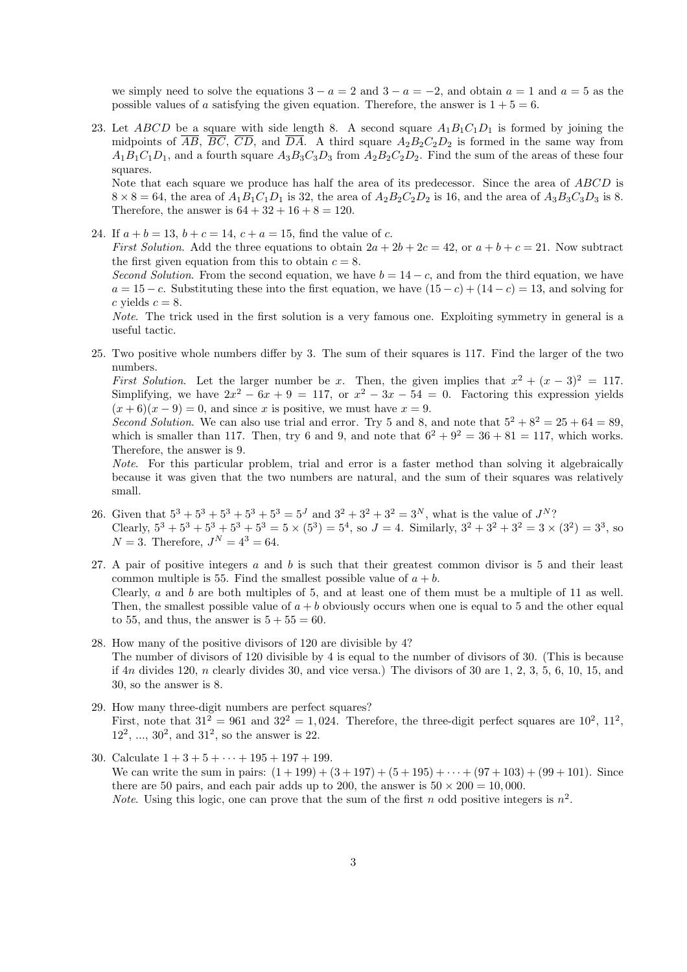we simply need to solve the equations  $3 - a = 2$  and  $3 - a = -2$ , and obtain  $a = 1$  and  $a = 5$  as the possible values of a satisfying the given equation. Therefore, the answer is  $1 + 5 = 6$ .

23. Let ABCD be a square with side length 8. A second square  $A_1B_1C_1D_1$  is formed by joining the midpoints of  $\overline{AB}$ ,  $\overline{BC}$ ,  $\overline{CD}$ , and  $\overline{DA}$ . A third square  $A_2B_2C_2D_2$  is formed in the same way from  $A_1B_1C_1D_1$ , and a fourth square  $A_3B_3C_3D_3$  from  $A_2B_2C_2D_2$ . Find the sum of the areas of these four squares.

Note that each square we produce has half the area of its predecessor. Since the area of ABCD is  $8 \times 8 = 64$ , the area of  $A_1B_1C_1D_1$  is 32, the area of  $A_2B_2C_2D_2$  is 16, and the area of  $A_3B_3C_3D_3$  is 8. Therefore, the answer is  $64 + 32 + 16 + 8 = 120$ .

- 24. If  $a + b = 13$ ,  $b + c = 14$ ,  $c + a = 15$ , find the value of c. *First Solution.* Add the three equations to obtain  $2a + 2b + 2c = 42$ , or  $a + b + c = 21$ . Now subtract the first given equation from this to obtain  $c = 8$ . Second Solution. From the second equation, we have  $b = 14 - c$ , and from the third equation, we have  $a = 15 - c$ . Substituting these into the first equation, we have  $(15 - c) + (14 - c) = 13$ , and solving for c yields  $c = 8$ . Note. The trick used in the first solution is a very famous one. Exploiting symmetry in general is a useful tactic.
- 25. Two positive whole numbers differ by 3. The sum of their squares is 117. Find the larger of the two numbers.

First Solution. Let the larger number be x. Then, the given implies that  $x^2 + (x - 3)^2 = 117$ . Simplifying, we have  $2x^2 - 6x + 9 = 117$ , or  $x^2 - 3x - 54 = 0$ . Factoring this expression yields  $(x+6)(x-9) = 0$ , and since x is positive, we must have  $x = 9$ .

Second Solution. We can also use trial and error. Try 5 and 8, and note that  $5^2 + 8^2 = 25 + 64 = 89$ , which is smaller than 117. Then, try 6 and 9, and note that  $6^2 + 9^2 = 36 + 81 = 117$ , which works. Therefore, the answer is 9.

Note. For this particular problem, trial and error is a faster method than solving it algebraically because it was given that the two numbers are natural, and the sum of their squares was relatively small.

- 26. Given that  $5^3 + 5^3 + 5^3 + 5^3 + 5^3 = 5^J$  and  $3^2 + 3^2 + 3^2 = 3^N$ , what is the value of  $J^N$ ? Clearly,  $5^3 + 5^3 + 5^3 + 5^3 + 5^3 = 5 \times (5^3) = 5^4$ , so  $J = 4$ . Similarly,  $3^2 + 3^2 + 3^2 = 3 \times (3^2) = 3^3$ , so  $N = 3$ . Therefore,  $J^N = 4^3 = 64$ .
- 27. A pair of positive integers  $a$  and  $b$  is such that their greatest common divisor is 5 and their least common multiple is 55. Find the smallest possible value of  $a + b$ . Clearly, a and b are both multiples of 5, and at least one of them must be a multiple of 11 as well. Then, the smallest possible value of  $a + b$  obviously occurs when one is equal to 5 and the other equal to 55, and thus, the answer is  $5 + 55 = 60$ .
- 28. How many of the positive divisors of 120 are divisible by 4? The number of divisors of 120 divisible by 4 is equal to the number of divisors of 30. (This is because if  $4n$  divides 120, n clearly divides 30, and vice versa.) The divisors of 30 are 1, 2, 3, 5, 6, 10, 15, and 30, so the answer is 8.
- 29. How many three-digit numbers are perfect squares? First, note that  $31^2 = 961$  and  $32^2 = 1,024$ . Therefore, the three-digit perfect squares are  $10^2, 11^2,$  $12^2, ..., 30^2,$  and  $31^2$ , so the answer is 22.
- 30. Calculate  $1 + 3 + 5 + \cdots + 195 + 197 + 199$ . We can write the sum in pairs:  $(1+199) + (3+197) + (5+195) + \cdots + (97+103) + (99+101)$ . Since there are 50 pairs, and each pair adds up to 200, the answer is  $50 \times 200 = 10,000$ . *Note.* Using this logic, one can prove that the sum of the first n odd positive integers is  $n^2$ .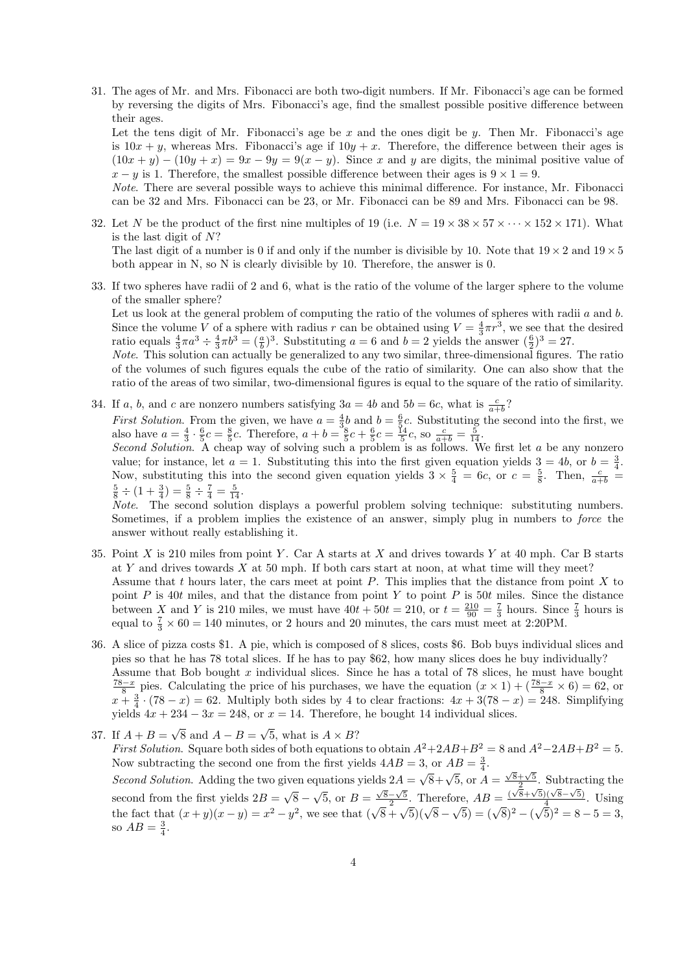31. The ages of Mr. and Mrs. Fibonacci are both two-digit numbers. If Mr. Fibonacci's age can be formed by reversing the digits of Mrs. Fibonacci's age, find the smallest possible positive difference between their ages.

Let the tens digit of Mr. Fibonacci's age be x and the ones digit be y. Then Mr. Fibonacci's age is  $10x + y$ , whereas Mrs. Fibonacci's age if  $10y + x$ . Therefore, the difference between their ages is  $(10x + y) - (10y + x) = 9x - 9y = 9(x - y)$ . Since x and y are digits, the minimal positive value of  $x - y$  is 1. Therefore, the smallest possible difference between their ages is  $9 \times 1 = 9$ .

Note. There are several possible ways to achieve this minimal difference. For instance, Mr. Fibonacci can be 32 and Mrs. Fibonacci can be 23, or Mr. Fibonacci can be 89 and Mrs. Fibonacci can be 98.

- 32. Let N be the product of the first nine multiples of 19 (i.e.  $N = 19 \times 38 \times 57 \times \cdots \times 152 \times 171$ ). What is the last digit of N? The last digit of a number is 0 if and only if the number is divisible by 10. Note that  $19 \times 2$  and  $19 \times 5$ both appear in N, so N is clearly divisible by 10. Therefore, the answer is 0.
- 33. If two spheres have radii of 2 and 6, what is the ratio of the volume of the larger sphere to the volume of the smaller sphere?

Let us look at the general problem of computing the ratio of the volumes of spheres with radii  $a$  and  $b$ . Since the volume V of a sphere with radius r can be obtained using  $V = \frac{4}{3}\pi r^3$ , we see that the desired ratio equals  $\frac{4}{3}\pi a^3 \div \frac{4}{3}\pi b^3 = (\frac{a}{b})^3$ . Substituting  $a = 6$  and  $b = 2$  yields the answer  $(\frac{6}{2})^3 = 27$ .

Note. This solution can actually be generalized to any two similar, three-dimensional figures. The ratio of the volumes of such figures equals the cube of the ratio of similarity. One can also show that the ratio of the areas of two similar, two-dimensional figures is equal to the square of the ratio of similarity.

34. If a, b, and c are nonzero numbers satisfying  $3a = 4b$  and  $5b = 6c$ , what is  $\frac{c}{a+b}$ ?

*First Solution.* From the given, we have  $a = \frac{4}{3}b$  and  $b = \frac{6}{5}c$ . Substituting the second into the first, we also have  $a = \frac{4}{3} \cdot \frac{6}{5}c = \frac{8}{5}c$ . Therefore,  $a + b = \frac{8}{5}c + \frac{6}{5}c = \frac{14}{5}c$ , so  $\frac{c}{a+b} = \frac{5}{14}$ .

Second Solution. A cheap way of solving such a problem is as follows. We first let a be any nonzero value; for instance, let  $a = 1$ . Substituting this into the first given equation yields  $3 = 4b$ , or  $b = \frac{3}{4}$ . Now, substituting this into the second given equation yields  $3 \times \frac{5}{4} = 6c$ , or  $c = \frac{5}{8}$ . Then,  $\frac{c}{a+b} =$  $\frac{5}{8} \div (1 + \frac{3}{4}) = \frac{5}{8} \div \frac{7}{4} = \frac{5}{14}.$ 

Note. The second solution displays a powerful problem solving technique: substituting numbers. Sometimes, if a problem implies the existence of an answer, simply plug in numbers to *force* the answer without really establishing it.

- 35. Point X is 210 miles from point Y. Car A starts at X and drives towards Y at 40 mph. Car B starts at Y and drives towards  $X$  at 50 mph. If both cars start at noon, at what time will they meet? Assume that  $t$  hours later, the cars meet at point  $P$ . This implies that the distance from point  $X$  to point P is  $40t$  miles, and that the distance from point Y to point P is  $50t$  miles. Since the distance between X and Y is 210 miles, we must have  $40t + 50t = 210$ , or  $t = \frac{210}{90} = \frac{7}{3}$  hours. Since  $\frac{7}{3}$  hours is equal to  $\frac{7}{3} \times 60 = 140$  minutes, or 2 hours and 20 minutes, the cars must meet at 2:20PM.
- 36. A slice of pizza costs \$1. A pie, which is composed of 8 slices, costs \$6. Bob buys individual slices and pies so that he has 78 total slices. If he has to pay \$62, how many slices does he buy individually? Assume that Bob bought  $x$  individual slices. Since he has a total of 78 slices, he must have bought  $\frac{78-x}{8}$  pies. Calculating the price of his purchases, we have the equation  $(x \times 1) + (\frac{78-x}{8} \times 6) = 62$ , or  $x + \frac{3}{4} \cdot (78 - x) = 62$ . Multiply both sides by 4 to clear fractions:  $4x + 3(78 - x) = 248$ . Simplifying yields  $4x + 234 - 3x = 248$ , or  $x = 14$ . Therefore, he bought 14 individual slices.
- 37. If  $A + B =$ √ 8 and  $A - B =$ √ 5, what is  $A \times B$ ? First Solution. Square both sides of both equations to obtain  $A^2+2AB+B^2=8$  and  $A^2-2AB+B^2=5$ . Now subtracting the second one from the first yields  $4AB = 3$ , or  $AB = \frac{3}{4}$ . Second Solution. Adding the two given equations yields  $2A =$  $\sqrt{8}+\sqrt{5}$ , or  $A=\frac{\sqrt{8}+\sqrt{5}}{2}$ . Subtracting the 2 second from the first yields  $2B =$ √  $\overline{8}$   $-$ √ 5, or  $B = \frac{\sqrt{8}-\sqrt{5}}{2}$ . Therefore,  $AB = \frac{(\sqrt{8}+\sqrt{5})(\sqrt{8}-\sqrt{5})}{4}$  $\frac{10(x^{8}-y^{5})}{4}$ . Using the fact that  $(x+y)(x-y) = x^2 - y^2$ , we see that  $(\sqrt{8} + \sqrt{5})(\sqrt{8} \sqrt{5}$ ) =  $(\sqrt{8})^2 - (\sqrt{5})^2 = 8 - 5 = 3,$ so  $AB = \frac{3}{4}$ .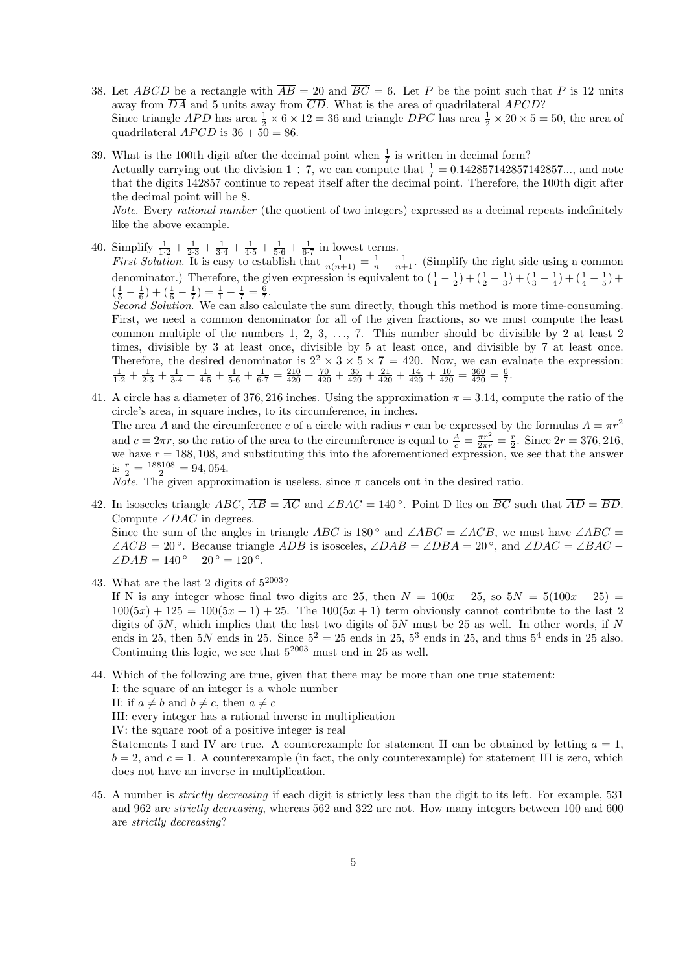- 38. Let ABCD be a rectangle with  $\overline{AB} = 20$  and  $\overline{BC} = 6$ . Let P be the point such that P is 12 units away from  $\overline{DA}$  and 5 units away from  $\overline{CD}$ . What is the area of quadrilateral APCD? Since triangle  $APD$  has area  $\frac{1}{2} \times 6 \times 12 = 36$  and triangle  $DPC$  has area  $\frac{1}{2} \times 20 \times 5 = 50$ , the area of quadrilateral  $APCD$  is  $36 + 50 = 86$ .
- 39. What is the 100th digit after the decimal point when  $\frac{1}{7}$  is written in decimal form? Actually carrying out the division  $1 \div 7$ , we can compute that  $\frac{1}{7} = 0.142857142857142857...$ , and note that the digits 142857 continue to repeat itself after the decimal point. Therefore, the 100th digit after the decimal point will be 8. Note. Every rational number (the quotient of two integers) expressed as a decimal repeats indefinitely

like the above example.

40. Simplify  $\frac{1}{1\cdot2} + \frac{1}{2\cdot3} + \frac{1}{3\cdot4} + \frac{1}{4\cdot5} + \frac{1}{5\cdot6} + \frac{1}{6\cdot7}$  in lowest terms. First Solution. It is easy to establish that  $\frac{1}{n(n+1)} = \frac{1}{n} - \frac{1}{n+1}$ . (Simplify the right side using a common denominator.) Therefore, the given expression is equivalent to  $(\frac{1}{1} - \frac{1}{2}) + (\frac{1}{2} - \frac{1}{3}) + (\frac{1}{3} - \frac{1}{4}) + (\frac{1}{4} - \frac{1}{5}) +$  $\left(\frac{1}{5} - \frac{1}{6}\right) + \left(\frac{1}{6} - \frac{1}{7}\right) = \frac{1}{1} - \frac{1}{7} = \frac{6}{7}.$ Second Solution. We can also calculate the sum directly, though this method is more time-consuming.

First, we need a common denominator for all of the given fractions, so we must compute the least common multiple of the numbers 1, 2, 3,  $\dots$ , 7. This number should be divisible by 2 at least 2 times, divisible by 3 at least once, divisible by 5 at least once, and divisible by 7 at least once. Therefore, the desired denominator is  $2^2 \times 3 \times 5 \times 7 = 420$ . Now, we can evaluate the expression:<br>  $\frac{1}{1\cdot 2} + \frac{1}{2\cdot 3} + \frac{1}{3\cdot 4} + \frac{1}{4\cdot 5} + \frac{1}{5\cdot 6} + \frac{1}{6\cdot 7} = \frac{210}{420} + \frac{70}{420} + \frac{35}{420} + \frac{21}{420} + \frac{$ 

41. A circle has a diameter of 376, 216 inches. Using the approximation  $\pi = 3.14$ , compute the ratio of the circle's area, in square inches, to its circumference, in inches. The area A and the circumference c of a circle with radius r can be expressed by the formulas  $A = \pi r^2$ and  $c = 2\pi r$ , so the ratio of the area to the circumference is equal to  $\frac{A}{c} = \frac{\pi r^2}{2\pi r} = \frac{r}{2}$ . Since  $2r = 376, 216$ , we have  $r = 188, 108$ , and substituting this into the aforementioned expression, we see that the answer is  $\frac{r}{2} = \frac{188108}{2} = 94,054.$ 

*Note.* The given approximation is useless, since  $\pi$  cancels out in the desired ratio.

- 42. In isosceles triangle  $ABC$ ,  $\overline{AB} = \overline{AC}$  and  $\angle BAC = 140^{\circ}$ . Point D lies on  $\overline{BC}$  such that  $\overline{AD} = \overline{BD}$ . Compute  $\angle DAC$  in degrees. Since the sum of the angles in triangle ABC is 180 $\degree$  and  $\angle ABC = \angle ACB$ , we must have  $\angle ABC =$  $\angle ACB = 20^{\circ}$ . Because triangle ADB is isosceles,  $\angle DAB = \angle DBA = 20^{\circ}$ , and  $\angle DAC = \angle BAC \angle DAB = 140^{\circ} - 20^{\circ} = 120^{\circ}.$
- 43. What are the last 2 digits of  $5^{2003}$ ? If N is any integer whose final two digits are 25, then  $N = 100x + 25$ , so  $5N = 5(100x + 25)$  $100(5x) + 125 = 100(5x + 1) + 25$ . The  $100(5x + 1)$  term obviously cannot contribute to the last 2 digits of 5N, which implies that the last two digits of 5N must be 25 as well. In other words, if N ends in 25, then  $5N$  ends in 25. Since  $5^2 = 25$  ends in 25,  $5^3$  ends in 25, and thus  $5^4$  ends in 25 also. Continuing this logic, we see that  $5^{2003}$  must end in 25 as well.
- 44. Which of the following are true, given that there may be more than one true statement: I: the square of an integer is a whole number II: if  $a \neq b$  and  $b \neq c$ , then  $a \neq c$ III: every integer has a rational inverse in multiplication IV: the square root of a positive integer is real

Statements I and IV are true. A counterexample for statement II can be obtained by letting  $a = 1$ ,  $b = 2$ , and  $c = 1$ . A counterexample (in fact, the only counterexample) for statement III is zero, which does not have an inverse in multiplication.

45. A number is *strictly decreasing* if each digit is strictly less than the digit to its left. For example, 531 and 962 are strictly decreasing, whereas 562 and 322 are not. How many integers between 100 and 600 are strictly decreasing?